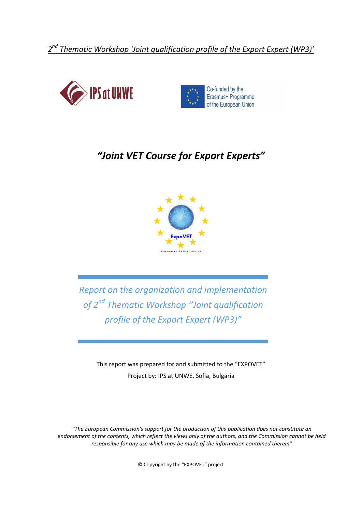*2 nd Thematic Workshop 'Joint qualification profile of the Export Expert (WP3)'*





# *"Joint VET Course for Export Experts"*



*Report on the organization and implementation of 2 nd Thematic Workshop ''Joint qualification profile of the Export Expert (WP3)"* 

This report was prepared for and submitted to the "EXPOVET" Project by: IPS at UNWE, Sofia, Bulgaria

*"The European Commission's support for the production of this publication does not constitute an endorsement of the contents, which reflect the views only of the authors, and the Commission cannot be held responsible for any use which may be made of the information contained therein"*

© Copyright by the "EXPOVET" project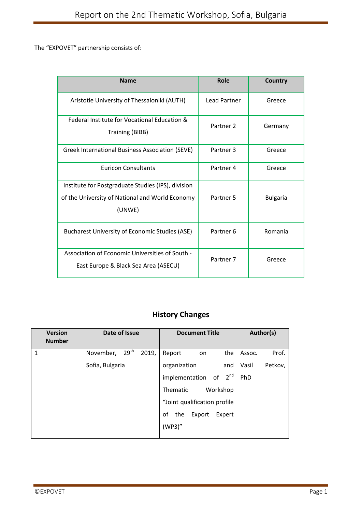The "EXPOVET" partnership consists of:

| <b>Name</b>                                                                                                     | Role                 | <b>Country</b>  |
|-----------------------------------------------------------------------------------------------------------------|----------------------|-----------------|
| Aristotle University of Thessaloniki (AUTH)                                                                     | <b>Lead Partner</b>  | Greece          |
| Federal Institute for Vocational Education &<br><b>Training (BIBB)</b>                                          | Partner <sub>2</sub> | Germany         |
| Greek International Business Association (SEVE)                                                                 | Partner 3            | Greece          |
| <b>Euricon Consultants</b>                                                                                      | Partner 4            | Greece          |
| Institute for Postgraduate Studies (IPS), division<br>of the University of National and World Economy<br>(UNWE) | Partner <sub>5</sub> | <b>Bulgaria</b> |
| Bucharest University of Economic Studies (ASE)                                                                  | Partner 6            | Romania         |
| Association of Economic Universities of South -<br>East Europe & Black Sea Area (ASECU)                         | Partner <sub>7</sub> | Greece          |

## **History Changes**

| <b>Version</b><br><b>Number</b> | Date of Issue                          | <b>Document Title</b>         | Author(s)        |
|---------------------------------|----------------------------------------|-------------------------------|------------------|
| 1                               | 29 <sup>th</sup><br>2019,<br>November, | Report<br>the<br>on           | Prof.<br>Assoc.  |
|                                 | Sofia, Bulgaria                        | organization<br>and           | Petkov,<br>Vasil |
|                                 |                                        | implementation of $2^{nd}$    | PhD              |
|                                 |                                        | Workshop<br>Thematic          |                  |
|                                 |                                        | "Joint qualification profile  |                  |
|                                 |                                        | οf<br>the<br>Export<br>Expert |                  |
|                                 |                                        | (WP3)''                       |                  |
|                                 |                                        |                               |                  |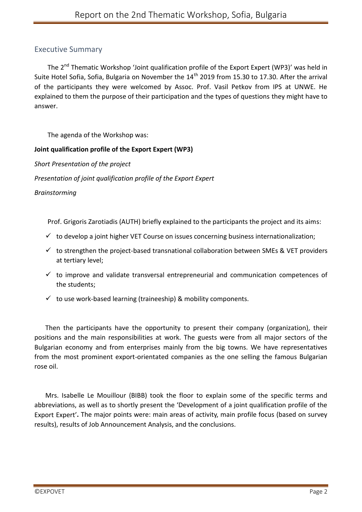## Executive Summary

The 2<sup>nd</sup> Thematic Workshop 'Joint qualification profile of the Export Expert (WP3)' was held in Suite Hotel Sofia, Sofia, Bulgaria on November the 14<sup>th</sup> 2019 from 15.30 to 17.30. After the arrival of the participants they were welcomed by Assoc. Prof. Vasil Petkov from IPS at UNWE. He explained to them the purpose of their participation and the types of questions they might have to answer.

The agenda of the Workshop was:

#### **Joint qualification profile of the Export Expert (WP3)**

*Short Presentation of the project*

*Presentation of joint qualification profile of the Export Expert* 

*Brainstorming*

Prof. Grigoris Zarotiadis (AUTH) briefly explained to the participants the project and its aims:

- $\checkmark$  to develop a joint higher VET Course on issues concerning business internationalization;
- $\checkmark$  to strengthen the project-based transnational collaboration between SMEs & VET providers at tertiary level;
- $\checkmark$  to improve and validate transversal entrepreneurial and communication competences of the students;
- $\checkmark$  to use work-based learning (traineeship) & mobility components.

Then the participants have the opportunity to present their company (organization), their positions and the main responsibilities at work. The guests were from all major sectors of the Bulgarian economy and from enterprises mainly from the big towns. We have representatives from the most prominent export-orientated companies as the one selling the famous Bulgarian rose oil.

Mrs. Isabelle Le Mouillour (BIBB) took the floor to explain some of the specific terms and abbreviations, as well as to shortly present the 'Development of a joint qualification profile of the Export Expert'**.** The major points were: main areas of activity, main profile focus (based on survey results), results of Job Announcement Analysis, and the conclusions.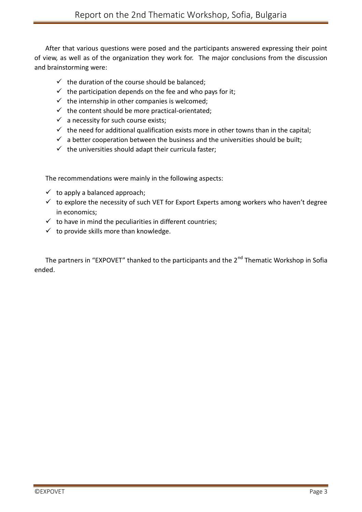After that various questions were posed and the participants answered expressing their point of view, as well as of the organization they work for. The major conclusions from the discussion and brainstorming were:

- $\checkmark$  the duration of the course should be balanced;
- $\checkmark$  the participation depends on the fee and who pays for it;
- $\checkmark$  the internship in other companies is welcomed;
- $\checkmark$  the content should be more practical-orientated:
- $\checkmark$  a necessity for such course exists;
- $\checkmark$  the need for additional qualification exists more in other towns than in the capital;
- $\checkmark$  a better cooperation between the business and the universities should be built;
- $\checkmark$  the universities should adapt their curricula faster;

The recommendations were mainly in the following aspects:

- $\checkmark$  to apply a balanced approach;
- $\checkmark$  to explore the necessity of such VET for Export Experts among workers who haven't degree in economics;
- $\checkmark$  to have in mind the peculiarities in different countries;
- $\checkmark$  to provide skills more than knowledge.

The partners in "EXPOVET" thanked to the participants and the 2<sup>nd</sup> Thematic Workshop in Sofia ended.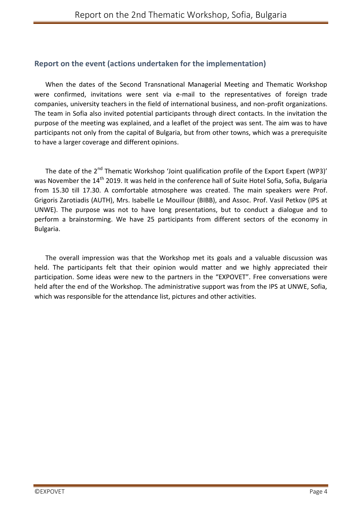## **Report on the event (actions undertaken for the implementation)**

When the dates of the Second Transnational Managerial Meeting and Thematic Workshop were confirmed, invitations were sent via e-mail to the representatives of foreign trade companies, university teachers in the field of international business, and non-profit organizations. The team in Sofia also invited potential participants through direct contacts. In the invitation the purpose of the meeting was explained, and a leaflet of the project was sent. The aim was to have participants not only from the capital of Bulgaria, but from other towns, which was a prerequisite to have a larger coverage and different opinions.

The date of the 2<sup>nd</sup> Thematic Workshop 'Joint qualification profile of the Export Expert (WP3)' was November the 14<sup>th</sup> 2019. It was held in the conference hall of Suite Hotel Sofia, Sofia, Bulgaria from 15.30 till 17.30. A comfortable atmosphere was created. The main speakers were Prof. Grigoris Zarotiadis (AUTH), Mrs. Isabelle Le Mouillour (BIBB), and Assoc. Prof. Vasil Petkov (IPS at UNWE). The purpose was not to have long presentations, but to conduct a dialogue and to perform a brainstorming. We have 25 participants from different sectors of the economy in Bulgaria.

The overall impression was that the Workshop met its goals and a valuable discussion was held. The participants felt that their opinion would matter and we highly appreciated their participation. Some ideas were new to the partners in the "EXPOVET". Free conversations were held after the end of the Workshop. The administrative support was from the IPS at UNWE, Sofia, which was responsible for the attendance list, pictures and other activities.